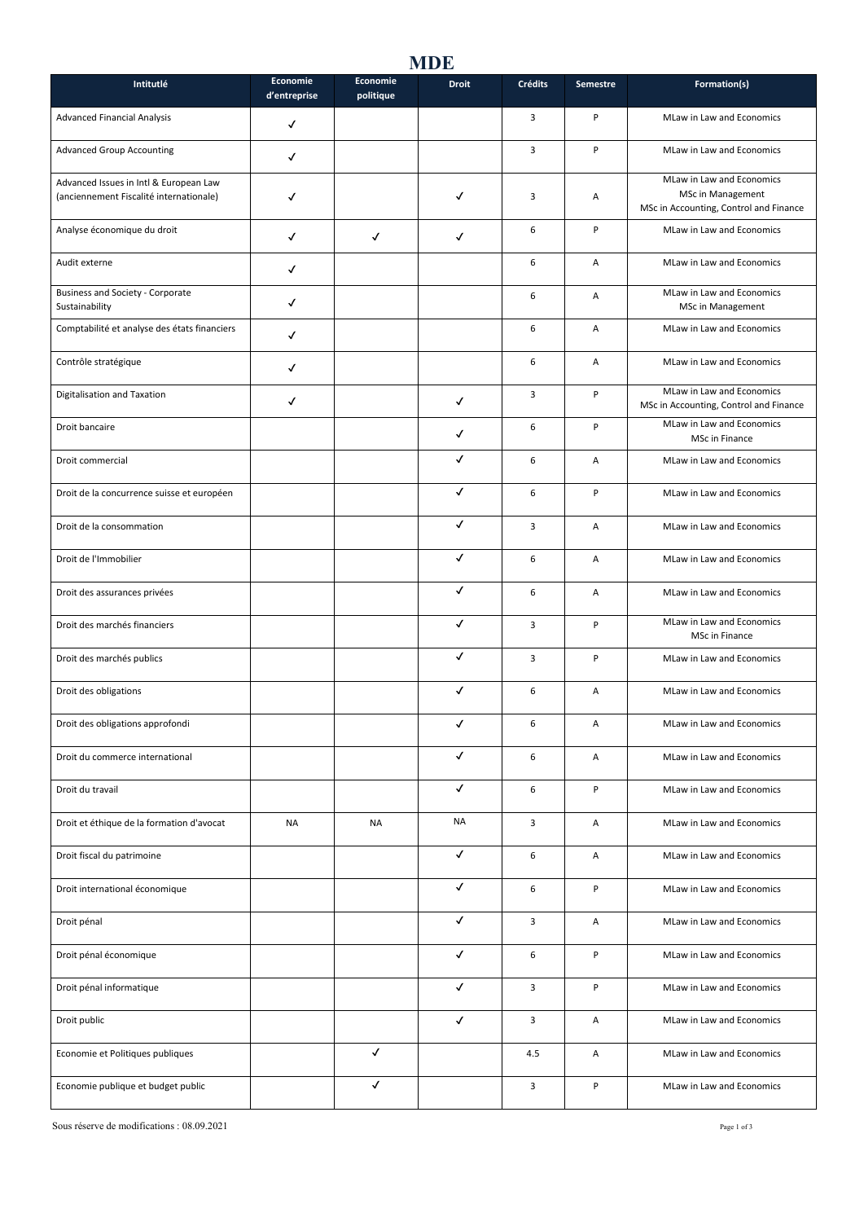## **MDE**

| Intitutlé                                                                         | Economie<br>d'entreprise | Economie<br>politique | <b>Droit</b> | Crédits | Semestre | Formation(s)                                                                             |
|-----------------------------------------------------------------------------------|--------------------------|-----------------------|--------------|---------|----------|------------------------------------------------------------------------------------------|
| <b>Advanced Financial Analysis</b>                                                | $\checkmark$             |                       |              | 3       | P        | MLaw in Law and Economics                                                                |
| <b>Advanced Group Accounting</b>                                                  | ✓                        |                       |              | 3       | P        | MLaw in Law and Economics                                                                |
| Advanced Issues in Intl & European Law<br>(anciennement Fiscalité internationale) | √                        |                       | ✓            | 3       | Α        | MLaw in Law and Economics<br>MSc in Management<br>MSc in Accounting, Control and Finance |
| Analyse économique du droit                                                       | $\checkmark$             | $\checkmark$          | $\checkmark$ | 6       | P        | MLaw in Law and Economics                                                                |
| Audit externe                                                                     | √                        |                       |              | 6       | А        | MLaw in Law and Economics                                                                |
| Business and Society - Corporate<br>Sustainability                                | √                        |                       |              | 6       | А        | MLaw in Law and Economics<br>MSc in Management                                           |
| Comptabilité et analyse des états financiers                                      | ✓                        |                       |              | 6       | А        | MLaw in Law and Economics                                                                |
| Contrôle stratégique                                                              | ✓                        |                       |              | 6       | А        | MLaw in Law and Economics                                                                |
| Digitalisation and Taxation                                                       | ✓                        |                       | ✓            | 3       | P        | MLaw in Law and Economics<br>MSc in Accounting, Control and Finance                      |
| Droit bancaire                                                                    |                          |                       | ✓            | 6       | P        | MLaw in Law and Economics<br>MSc in Finance                                              |
| Droit commercial                                                                  |                          |                       | ✓            | 6       | А        | MLaw in Law and Economics                                                                |
| Droit de la concurrence suisse et européen                                        |                          |                       | ✓            | 6       | P        | MLaw in Law and Economics                                                                |
| Droit de la consommation                                                          |                          |                       | ✓            | 3       | А        | MLaw in Law and Economics                                                                |
| Droit de l'Immobilier                                                             |                          |                       | ✓            | 6       | А        | MLaw in Law and Economics                                                                |
| Droit des assurances privées                                                      |                          |                       | ✓            | 6       | А        | MLaw in Law and Economics                                                                |
| Droit des marchés financiers                                                      |                          |                       | ✓            | 3       | P        | MLaw in Law and Economics<br>MSc in Finance                                              |
| Droit des marchés publics                                                         |                          |                       | ✓            | 3       | P        | MLaw in Law and Economics                                                                |
| Droit des obligations                                                             |                          |                       | ✓            | 6       | Α        | MLaw in Law and Economics                                                                |
| Droit des obligations approfondi                                                  |                          |                       |              | 6       | Α        | MLaw in Law and Economics                                                                |
| Droit du commerce international                                                   |                          |                       | $\checkmark$ | 6       | Α        | MLaw in Law and Economics                                                                |
| Droit du travail                                                                  |                          |                       | $\checkmark$ | 6       | P        | MLaw in Law and Economics                                                                |
| Droit et éthique de la formation d'avocat                                         | <b>NA</b>                | NA                    | NA           | 3       | А        | MLaw in Law and Economics                                                                |
| Droit fiscal du patrimoine                                                        |                          |                       | ✓            | 6       | Α        | MLaw in Law and Economics                                                                |
| Droit international économique                                                    |                          |                       | $\checkmark$ | 6       | P        | MLaw in Law and Economics                                                                |
| Droit pénal                                                                       |                          |                       | $\checkmark$ | 3       | А        | MLaw in Law and Economics                                                                |
| Droit pénal économique                                                            |                          |                       | $\checkmark$ | 6       | P        | MLaw in Law and Economics                                                                |
| Droit pénal informatique                                                          |                          |                       | $\checkmark$ | 3       | P        | MLaw in Law and Economics                                                                |
| Droit public                                                                      |                          |                       | $\checkmark$ | 3       | А        | MLaw in Law and Economics                                                                |
| Economie et Politiques publiques                                                  |                          | $\checkmark$          |              | 4.5     | А        | MLaw in Law and Economics                                                                |
| Economie publique et budget public                                                |                          | ✓                     |              | 3       | P        | MLaw in Law and Economics                                                                |

Sous réserve de modifications : 08.09.2021 Page 1 of 3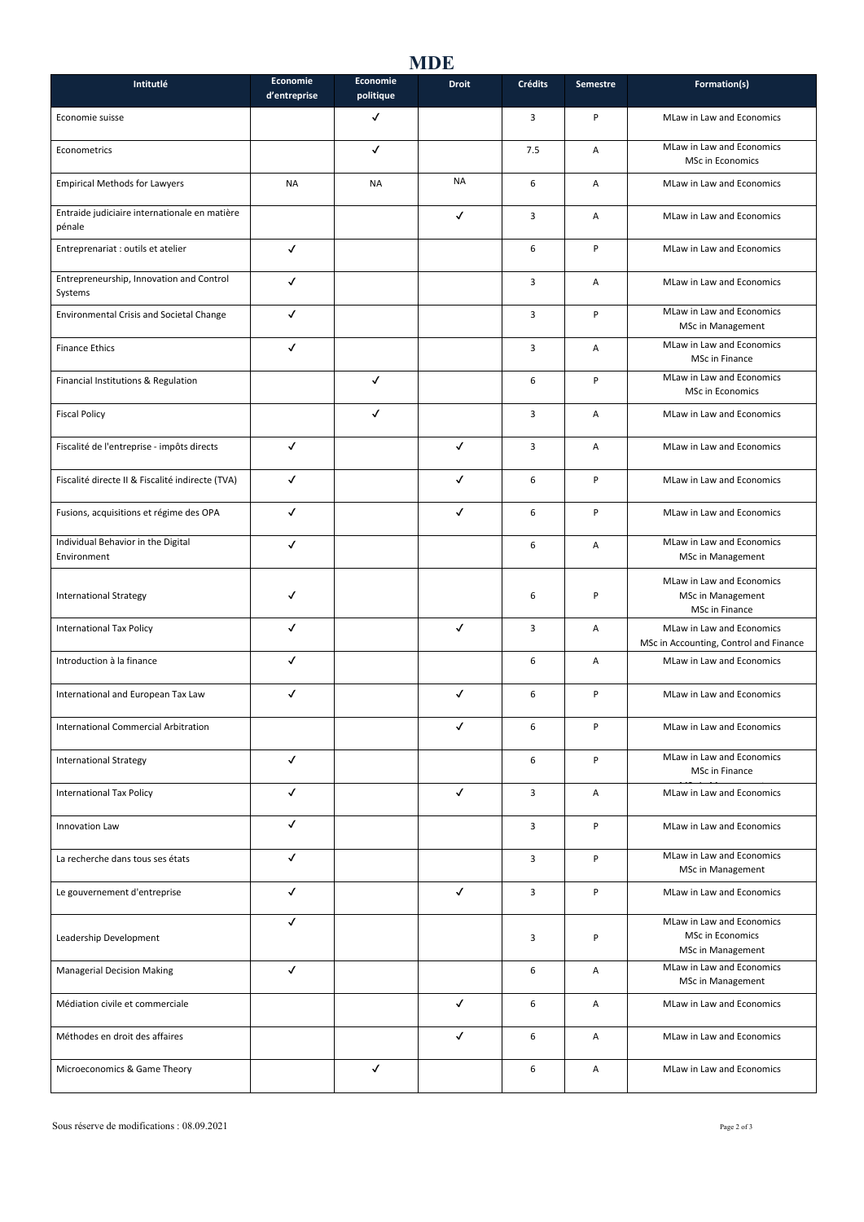## **MDE**

| Intitutlé                                               | Economie<br>d'entreprise | <b>Economie</b><br>politique | <b>Droit</b> | <b>Crédits</b> | Semestre | Formation(s)                                                              |
|---------------------------------------------------------|--------------------------|------------------------------|--------------|----------------|----------|---------------------------------------------------------------------------|
| Economie suisse                                         |                          | ✓                            |              | 3              | P        | MLaw in Law and Economics                                                 |
| Econometrics                                            |                          | ✓                            |              | 7.5            | A        | MLaw in Law and Economics<br><b>MSc in Economics</b>                      |
| <b>Empirical Methods for Lawyers</b>                    | NA                       | <b>NA</b>                    | <b>NA</b>    | 6              | А        | MLaw in Law and Economics                                                 |
| Entraide judiciaire internationale en matière<br>pénale |                          |                              | √            | 3              | А        | MLaw in Law and Economics                                                 |
| Entreprenariat : outils et atelier                      | ✓                        |                              |              | 6              | P        | MLaw in Law and Economics                                                 |
| Entrepreneurship, Innovation and Control<br>Systems     | √                        |                              |              | 3              | Α        | MLaw in Law and Economics                                                 |
| <b>Environmental Crisis and Societal Change</b>         | √                        |                              |              | 3              | P        | MLaw in Law and Economics<br>MSc in Management                            |
| <b>Finance Ethics</b>                                   | √                        |                              |              | 3              | А        | MLaw in Law and Economics<br>MSc in Finance                               |
| Financial Institutions & Regulation                     |                          | $\checkmark$                 |              | 6              | P        | MLaw in Law and Economics<br>MSc in Economics                             |
| <b>Fiscal Policy</b>                                    |                          | √                            |              | 3              | А        | MLaw in Law and Economics                                                 |
| Fiscalité de l'entreprise - impôts directs              | ✓                        |                              | ✓            | 3              | А        | MLaw in Law and Economics                                                 |
| Fiscalité directe II & Fiscalité indirecte (TVA)        | $\checkmark$             |                              | ✓            | 6              | P        | MLaw in Law and Economics                                                 |
| Fusions, acquisitions et régime des OPA                 | √                        |                              | ✓            | 6              | P        | MLaw in Law and Economics                                                 |
| Individual Behavior in the Digital<br>Environment       | √                        |                              |              | 6              | А        | MLaw in Law and Economics<br>MSc in Management                            |
| <b>International Strategy</b>                           | ✓                        |                              |              | 6              | P        | MLaw in Law and Economics<br>MSc in Management<br>MSc in Finance          |
| <b>International Tax Policy</b>                         | √                        |                              | ✓            | 3              | А        | MLaw in Law and Economics<br>MSc in Accounting, Control and Finance       |
| Introduction à la finance                               | $\checkmark$             |                              |              | 6              | А        | MLaw in Law and Economics                                                 |
| International and European Tax Law                      | ✓                        |                              | ✓            | 6              | P        | MLaw in Law and Economics                                                 |
| International Commercial Arbitration                    |                          |                              |              | 6              | P        | MLaw in Law and Economics                                                 |
| <b>International Strategy</b>                           | $\checkmark$             |                              |              | 6              | P        | MLaw in Law and Economics<br>MSc in Finance                               |
| <b>International Tax Policy</b>                         | $\checkmark$             |                              | $\checkmark$ | 3              | А        | MLaw in Law and Economics                                                 |
| Innovation Law                                          | √                        |                              |              | 3              | P        | MLaw in Law and Economics                                                 |
| La recherche dans tous ses états                        | √                        |                              |              | 3              | P        | MLaw in Law and Economics<br>MSc in Management                            |
| Le gouvernement d'entreprise                            | $\checkmark$             |                              | $\checkmark$ | 3              | P        | MLaw in Law and Economics                                                 |
| Leadership Development                                  | $\checkmark$             |                              |              | 3              | P        | MLaw in Law and Economics<br><b>MSc in Economics</b><br>MSc in Management |
| <b>Managerial Decision Making</b>                       | $\checkmark$             |                              |              | 6              | А        | MLaw in Law and Economics<br>MSc in Management                            |
| Médiation civile et commerciale                         |                          |                              | $\checkmark$ | 6              | А        | MLaw in Law and Economics                                                 |
| Méthodes en droit des affaires                          |                          |                              | $\checkmark$ | 6              | Α        | MLaw in Law and Economics                                                 |
| Microeconomics & Game Theory                            |                          | √                            |              | 6              | А        | MLaw in Law and Economics                                                 |